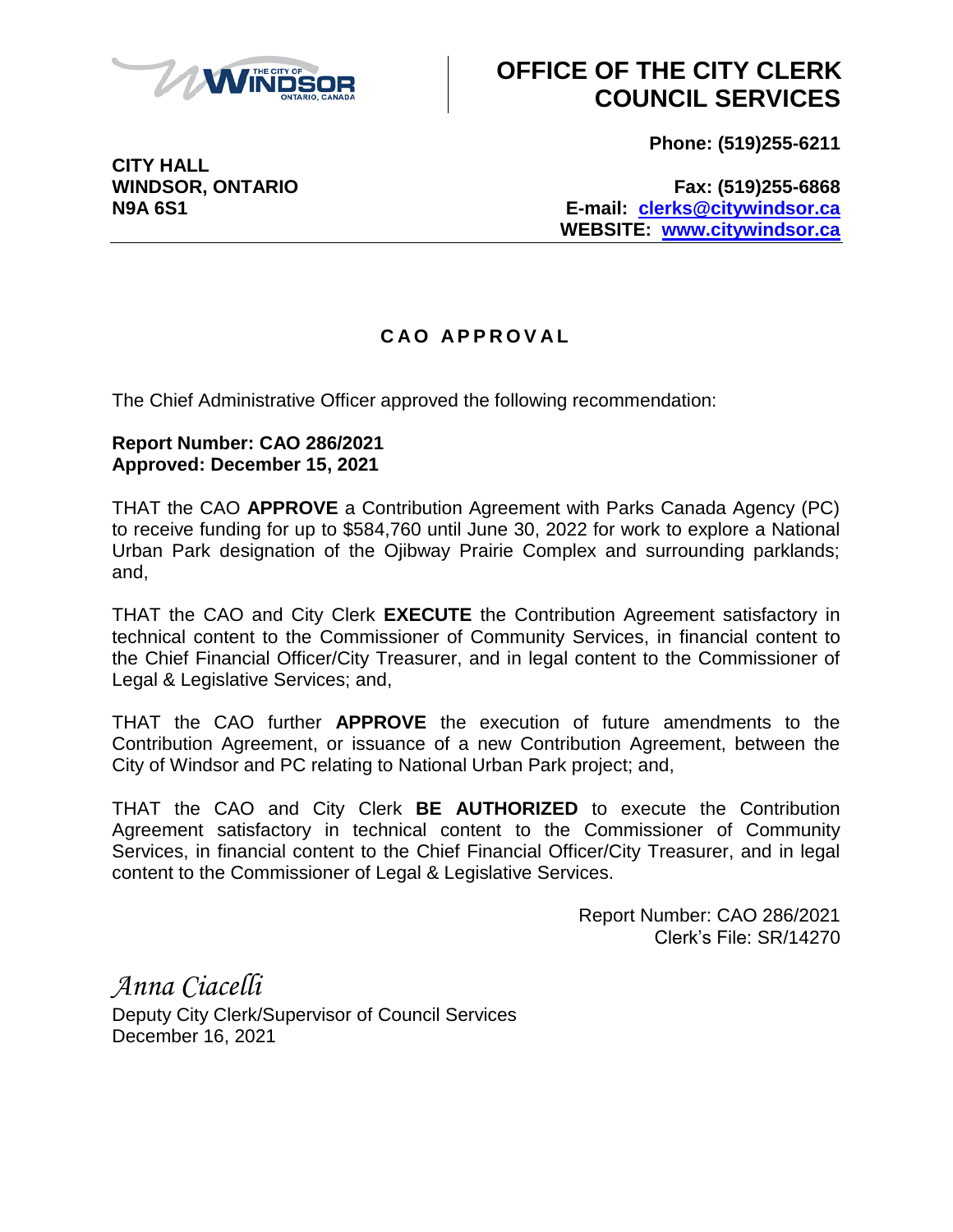

## **OFFICE OF THE CITY CLERK COUNCIL SERVICES**

**Phone: (519)255-6211**

**CITY HALL**

**WINDSOR, ONTARIO Fax: (519)255-6868 N9A 6S1 E-mail: [clerks@citywindsor.ca](mailto:clerks@citywindsor.ca) WEBSITE: [www.citywindsor.ca](http://www.citywindsor.ca/)**

## **C A O A P P R O V A L**

The Chief Administrative Officer approved the following recommendation:

## **Report Number: CAO 286/2021 Approved: December 15, 2021**

THAT the CAO **APPROVE** a Contribution Agreement with Parks Canada Agency (PC) to receive funding for up to \$584,760 until June 30, 2022 for work to explore a National Urban Park designation of the Ojibway Prairie Complex and surrounding parklands; and,

THAT the CAO and City Clerk **EXECUTE** the Contribution Agreement satisfactory in technical content to the Commissioner of Community Services, in financial content to the Chief Financial Officer/City Treasurer, and in legal content to the Commissioner of Legal & Legislative Services; and,

THAT the CAO further **APPROVE** the execution of future amendments to the Contribution Agreement, or issuance of a new Contribution Agreement, between the City of Windsor and PC relating to National Urban Park project; and,

THAT the CAO and City Clerk **BE AUTHORIZED** to execute the Contribution Agreement satisfactory in technical content to the Commissioner of Community Services, in financial content to the Chief Financial Officer/City Treasurer, and in legal content to the Commissioner of Legal & Legislative Services.

> Report Number: CAO 286/2021 Clerk's File: SR/14270

*Anna Ciacelli* Deputy City Clerk/Supervisor of Council Services December 16, 2021